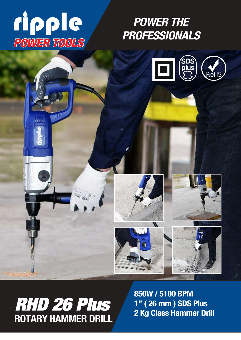# *PROFESSIONALS POWER TOOLS*

 $\mathbf{A}^{[a][a][b] \times}$ 

*POWER THE*





850W / 5100 BPM 1" ( 26 mm ) SDS Plus 2 Kg Class Hammer Drill